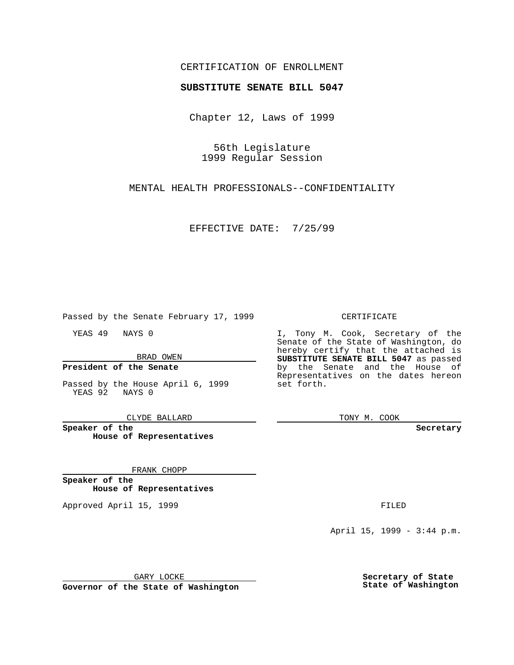### CERTIFICATION OF ENROLLMENT

# **SUBSTITUTE SENATE BILL 5047**

Chapter 12, Laws of 1999

56th Legislature 1999 Regular Session

MENTAL HEALTH PROFESSIONALS--CONFIDENTIALITY

EFFECTIVE DATE: 7/25/99

Passed by the Senate February 17, 1999

YEAS 49 NAYS 0

BRAD OWEN

### **President of the Senate**

Passed by the House April 6, 1999 YEAS 92 NAYS 0

CLYDE BALLARD

**Speaker of the House of Representatives**

FRANK CHOPP

**Speaker of the House of Representatives**

Approved April 15, 1999 **FILED** 

### CERTIFICATE

I, Tony M. Cook, Secretary of the Senate of the State of Washington, do hereby certify that the attached is **SUBSTITUTE SENATE BILL 5047** as passed by the Senate and the House of Representatives on the dates hereon set forth.

TONY M. COOK

**Secretary**

April 15, 1999 - 3:44 p.m.

GARY LOCKE

**Governor of the State of Washington**

**Secretary of State State of Washington**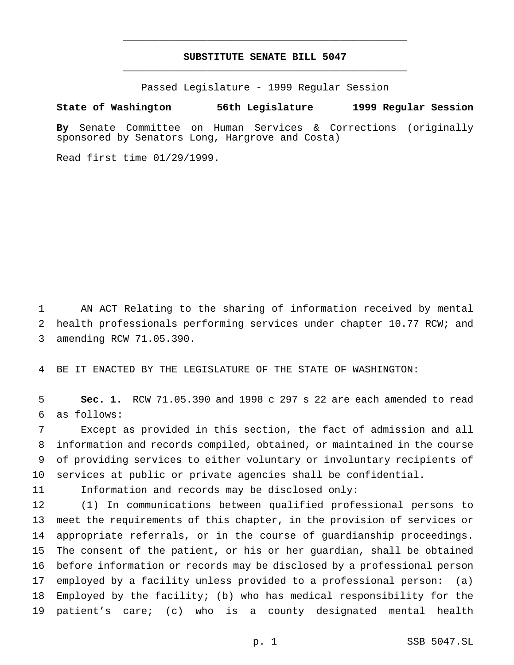## **SUBSTITUTE SENATE BILL 5047** \_\_\_\_\_\_\_\_\_\_\_\_\_\_\_\_\_\_\_\_\_\_\_\_\_\_\_\_\_\_\_\_\_\_\_\_\_\_\_\_\_\_\_\_\_\_\_

\_\_\_\_\_\_\_\_\_\_\_\_\_\_\_\_\_\_\_\_\_\_\_\_\_\_\_\_\_\_\_\_\_\_\_\_\_\_\_\_\_\_\_\_\_\_\_

Passed Legislature - 1999 Regular Session

#### **State of Washington 56th Legislature 1999 Regular Session**

**By** Senate Committee on Human Services & Corrections (originally sponsored by Senators Long, Hargrove and Costa)

Read first time 01/29/1999.

 AN ACT Relating to the sharing of information received by mental health professionals performing services under chapter 10.77 RCW; and amending RCW 71.05.390.

BE IT ENACTED BY THE LEGISLATURE OF THE STATE OF WASHINGTON:

 **Sec. 1.** RCW 71.05.390 and 1998 c 297 s 22 are each amended to read as follows:

 Except as provided in this section, the fact of admission and all information and records compiled, obtained, or maintained in the course of providing services to either voluntary or involuntary recipients of services at public or private agencies shall be confidential.

Information and records may be disclosed only:

 (1) In communications between qualified professional persons to meet the requirements of this chapter, in the provision of services or appropriate referrals, or in the course of guardianship proceedings. The consent of the patient, or his or her guardian, shall be obtained before information or records may be disclosed by a professional person employed by a facility unless provided to a professional person: (a) Employed by the facility; (b) who has medical responsibility for the patient's care; (c) who is a county designated mental health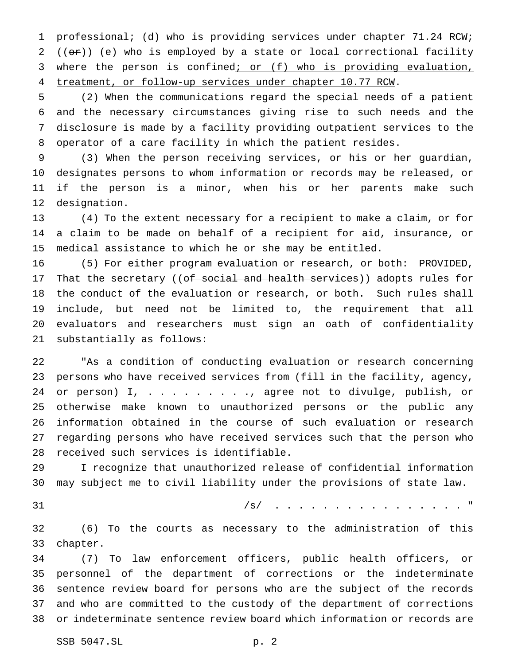professional; (d) who is providing services under chapter 71.24 RCW; 2 ( $(\overline{or})$ ) (e) who is employed by a state or local correctional facility 3 where the person is confined; or (f) who is providing evaluation, treatment, or follow-up services under chapter 10.77 RCW.

 (2) When the communications regard the special needs of a patient and the necessary circumstances giving rise to such needs and the disclosure is made by a facility providing outpatient services to the operator of a care facility in which the patient resides.

 (3) When the person receiving services, or his or her guardian, designates persons to whom information or records may be released, or if the person is a minor, when his or her parents make such designation.

 (4) To the extent necessary for a recipient to make a claim, or for a claim to be made on behalf of a recipient for aid, insurance, or medical assistance to which he or she may be entitled.

 (5) For either program evaluation or research, or both: PROVIDED, 17 That the secretary ((of social and health services)) adopts rules for the conduct of the evaluation or research, or both. Such rules shall include, but need not be limited to, the requirement that all evaluators and researchers must sign an oath of confidentiality substantially as follows:

 "As a condition of conducting evaluation or research concerning persons who have received services from (fill in the facility, agency, 24 or person) I, . . . . . . . . , agree not to divulge, publish, or otherwise make known to unauthorized persons or the public any information obtained in the course of such evaluation or research regarding persons who have received services such that the person who received such services is identifiable.

 I recognize that unauthorized release of confidential information may subject me to civil liability under the provisions of state law.

/s/ . . . . . . . . . . . . . . . . "

 (6) To the courts as necessary to the administration of this chapter.

 (7) To law enforcement officers, public health officers, or personnel of the department of corrections or the indeterminate sentence review board for persons who are the subject of the records and who are committed to the custody of the department of corrections or indeterminate sentence review board which information or records are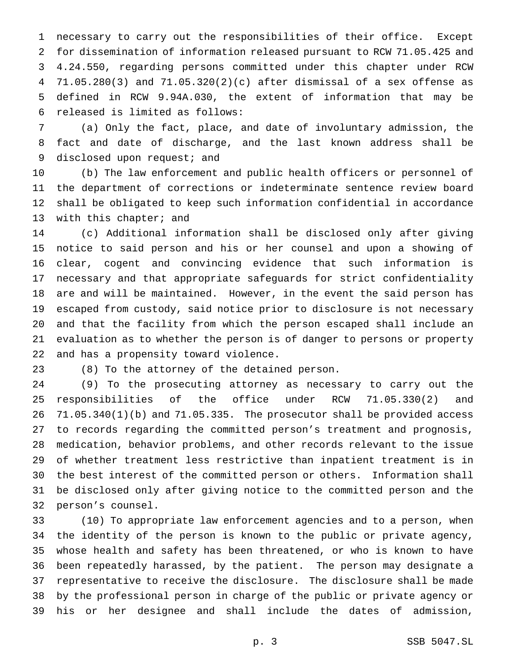necessary to carry out the responsibilities of their office. Except for dissemination of information released pursuant to RCW 71.05.425 and 4.24.550, regarding persons committed under this chapter under RCW 71.05.280(3) and 71.05.320(2)(c) after dismissal of a sex offense as defined in RCW 9.94A.030, the extent of information that may be released is limited as follows:

 (a) Only the fact, place, and date of involuntary admission, the fact and date of discharge, and the last known address shall be 9 disclosed upon request; and

 (b) The law enforcement and public health officers or personnel of the department of corrections or indeterminate sentence review board shall be obligated to keep such information confidential in accordance 13 with this chapter; and

 (c) Additional information shall be disclosed only after giving notice to said person and his or her counsel and upon a showing of clear, cogent and convincing evidence that such information is necessary and that appropriate safeguards for strict confidentiality are and will be maintained. However, in the event the said person has escaped from custody, said notice prior to disclosure is not necessary and that the facility from which the person escaped shall include an evaluation as to whether the person is of danger to persons or property and has a propensity toward violence.

(8) To the attorney of the detained person.

 (9) To the prosecuting attorney as necessary to carry out the responsibilities of the office under RCW 71.05.330(2) and 71.05.340(1)(b) and 71.05.335. The prosecutor shall be provided access to records regarding the committed person's treatment and prognosis, medication, behavior problems, and other records relevant to the issue of whether treatment less restrictive than inpatient treatment is in the best interest of the committed person or others. Information shall be disclosed only after giving notice to the committed person and the person's counsel.

 (10) To appropriate law enforcement agencies and to a person, when the identity of the person is known to the public or private agency, whose health and safety has been threatened, or who is known to have been repeatedly harassed, by the patient. The person may designate a representative to receive the disclosure. The disclosure shall be made by the professional person in charge of the public or private agency or his or her designee and shall include the dates of admission,